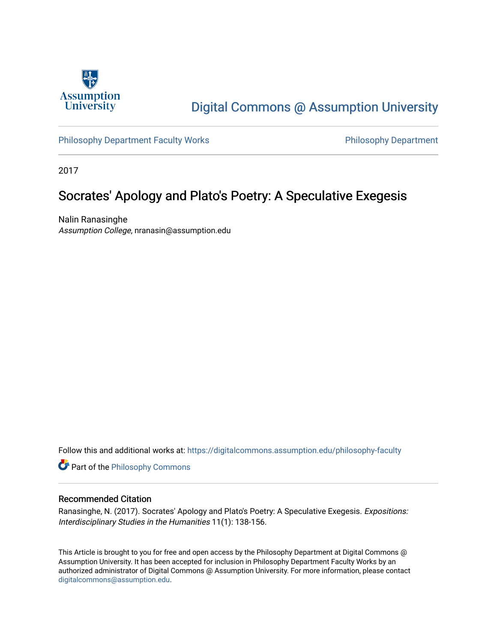

# [Digital Commons @ Assumption University](https://digitalcommons.assumption.edu/)

[Philosophy Department Faculty Works](https://digitalcommons.assumption.edu/philosophy-faculty) **Philosophy Department** 

2017

# Socrates' Apology and Plato's Poetry: A Speculative Exegesis

Nalin Ranasinghe Assumption College, nranasin@assumption.edu

Follow this and additional works at: [https://digitalcommons.assumption.edu/philosophy-faculty](https://digitalcommons.assumption.edu/philosophy-faculty?utm_source=digitalcommons.assumption.edu%2Fphilosophy-faculty%2F2&utm_medium=PDF&utm_campaign=PDFCoverPages) 

**Part of the Philosophy Commons** 

#### Recommended Citation

Ranasinghe, N. (2017). Socrates' Apology and Plato's Poetry: A Speculative Exegesis. Expositions: Interdisciplinary Studies in the Humanities 11(1): 138-156.

This Article is brought to you for free and open access by the Philosophy Department at Digital Commons @ Assumption University. It has been accepted for inclusion in Philosophy Department Faculty Works by an authorized administrator of Digital Commons @ Assumption University. For more information, please contact [digitalcommons@assumption.edu](mailto:digitalcommons@assumption.edu).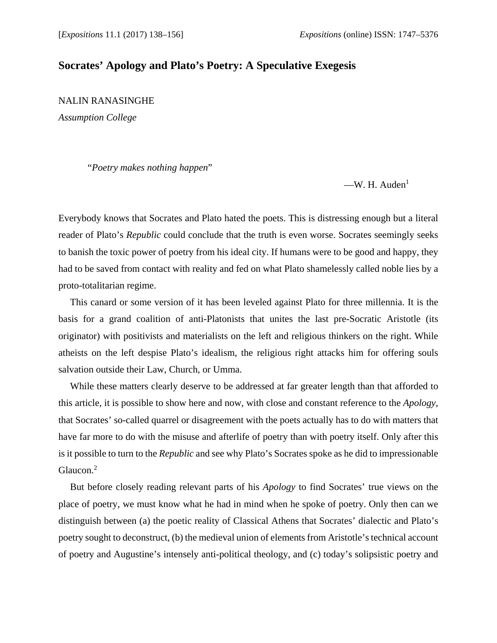# **Socrates' Apology and Plato's Poetry: A Speculative Exegesis**

NALIN RANASINGHE

*Assumption College* 

"*Poetry makes nothing happen*"

 $-W$ . H. Auden<sup>1</sup>

Everybody knows that Socrates and Plato hated the poets. This is distressing enough but a literal reader of Plato's *Republic* could conclude that the truth is even worse. Socrates seemingly seeks to banish the toxic power of poetry from his ideal city. If humans were to be good and happy, they had to be saved from contact with reality and fed on what Plato shamelessly called noble lies by a proto-totalitarian regime.

This canard or some version of it has been leveled against Plato for three millennia. It is the basis for a grand coalition of anti-Platonists that unites the last pre-Socratic Aristotle (its originator) with positivists and materialists on the left and religious thinkers on the right. While atheists on the left despise Plato's idealism, the religious right attacks him for offering souls salvation outside their Law, Church, or Umma.

While these matters clearly deserve to be addressed at far greater length than that afforded to this article, it is possible to show here and now, with close and constant reference to the *Apology*, that Socrates' so-called quarrel or disagreement with the poets actually has to do with matters that have far more to do with the misuse and afterlife of poetry than with poetry itself. Only after this is it possible to turn to the *Republic* and see why Plato's Socrates spoke as he did to impressionable Glaucon.<sup>2</sup>

But before closely reading relevant parts of his *Apology* to find Socrates' true views on the place of poetry, we must know what he had in mind when he spoke of poetry. Only then can we distinguish between (a) the poetic reality of Classical Athens that Socrates' dialectic and Plato's poetry sought to deconstruct, (b) the medieval union of elements from Aristotle's technical account of poetry and Augustine's intensely anti-political theology, and (c) today's solipsistic poetry and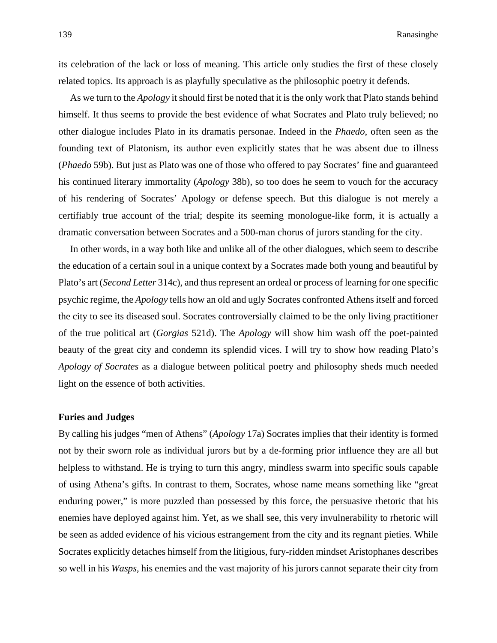its celebration of the lack or loss of meaning. This article only studies the first of these closely related topics. Its approach is as playfully speculative as the philosophic poetry it defends.

As we turn to the *Apology* it should first be noted that it is the only work that Plato stands behind himself. It thus seems to provide the best evidence of what Socrates and Plato truly believed; no other dialogue includes Plato in its dramatis personae. Indeed in the *Phaedo*, often seen as the founding text of Platonism, its author even explicitly states that he was absent due to illness (*Phaedo* 59b). But just as Plato was one of those who offered to pay Socrates' fine and guaranteed his continued literary immortality (*Apology* 38b), so too does he seem to vouch for the accuracy of his rendering of Socrates' Apology or defense speech. But this dialogue is not merely a certifiably true account of the trial; despite its seeming monologue-like form, it is actually a dramatic conversation between Socrates and a 500-man chorus of jurors standing for the city.

In other words, in a way both like and unlike all of the other dialogues, which seem to describe the education of a certain soul in a unique context by a Socrates made both young and beautiful by Plato's art (*Second Letter* 314c), and thus represent an ordeal or process of learning for one specific psychic regime, the *Apology* tells how an old and ugly Socrates confronted Athens itself and forced the city to see its diseased soul. Socrates controversially claimed to be the only living practitioner of the true political art (*Gorgias* 521d). The *Apology* will show him wash off the poet-painted beauty of the great city and condemn its splendid vices. I will try to show how reading Plato's *Apology of Socrates* as a dialogue between political poetry and philosophy sheds much needed light on the essence of both activities.

## **Furies and Judges**

By calling his judges "men of Athens" (*Apology* 17a) Socrates implies that their identity is formed not by their sworn role as individual jurors but by a de-forming prior influence they are all but helpless to withstand. He is trying to turn this angry, mindless swarm into specific souls capable of using Athena's gifts. In contrast to them, Socrates, whose name means something like "great enduring power," is more puzzled than possessed by this force, the persuasive rhetoric that his enemies have deployed against him. Yet, as we shall see, this very invulnerability to rhetoric will be seen as added evidence of his vicious estrangement from the city and its regnant pieties. While Socrates explicitly detaches himself from the litigious, fury-ridden mindset Aristophanes describes so well in his *Wasps*, his enemies and the vast majority of his jurors cannot separate their city from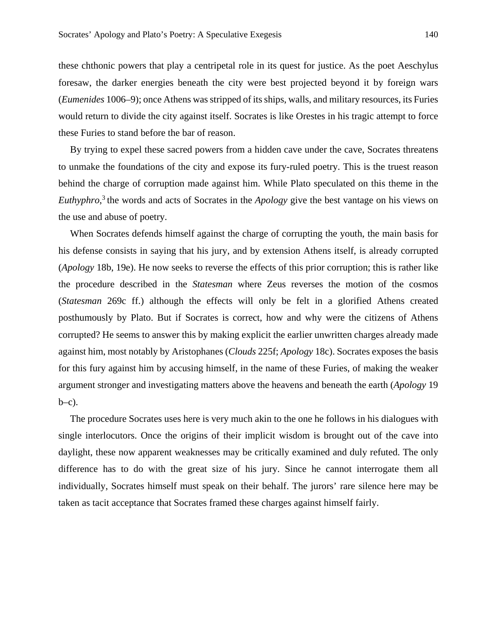these chthonic powers that play a centripetal role in its quest for justice. As the poet Aeschylus foresaw, the darker energies beneath the city were best projected beyond it by foreign wars (*Eumenides* 1006–9); once Athens was stripped of its ships, walls, and military resources, its Furies would return to divide the city against itself. Socrates is like Orestes in his tragic attempt to force these Furies to stand before the bar of reason.

By trying to expel these sacred powers from a hidden cave under the cave, Socrates threatens to unmake the foundations of the city and expose its fury-ruled poetry. This is the truest reason behind the charge of corruption made against him. While Plato speculated on this theme in the *Euthyphro*, 3 the words and acts of Socrates in the *Apology* give the best vantage on his views on the use and abuse of poetry.

When Socrates defends himself against the charge of corrupting the youth, the main basis for his defense consists in saying that his jury, and by extension Athens itself, is already corrupted (*Apology* 18b, 19e). He now seeks to reverse the effects of this prior corruption; this is rather like the procedure described in the *Statesman* where Zeus reverses the motion of the cosmos (*Statesman* 269c ff.) although the effects will only be felt in a glorified Athens created posthumously by Plato. But if Socrates is correct, how and why were the citizens of Athens corrupted? He seems to answer this by making explicit the earlier unwritten charges already made against him, most notably by Aristophanes (*Clouds* 225f; *Apology* 18c). Socrates exposes the basis for this fury against him by accusing himself, in the name of these Furies, of making the weaker argument stronger and investigating matters above the heavens and beneath the earth (*Apology* 19  $b-c$ ).

The procedure Socrates uses here is very much akin to the one he follows in his dialogues with single interlocutors. Once the origins of their implicit wisdom is brought out of the cave into daylight, these now apparent weaknesses may be critically examined and duly refuted. The only difference has to do with the great size of his jury. Since he cannot interrogate them all individually, Socrates himself must speak on their behalf. The jurors' rare silence here may be taken as tacit acceptance that Socrates framed these charges against himself fairly.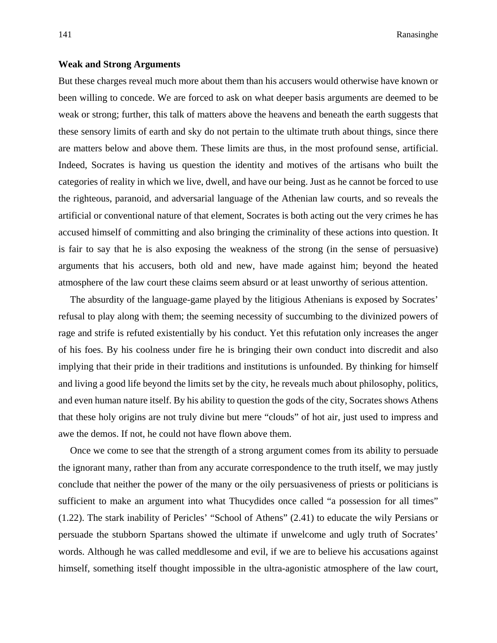141 Ranasinghe

### **Weak and Strong Arguments**

But these charges reveal much more about them than his accusers would otherwise have known or been willing to concede. We are forced to ask on what deeper basis arguments are deemed to be weak or strong; further, this talk of matters above the heavens and beneath the earth suggests that these sensory limits of earth and sky do not pertain to the ultimate truth about things, since there are matters below and above them. These limits are thus, in the most profound sense, artificial. Indeed, Socrates is having us question the identity and motives of the artisans who built the categories of reality in which we live, dwell, and have our being. Just as he cannot be forced to use the righteous, paranoid, and adversarial language of the Athenian law courts, and so reveals the artificial or conventional nature of that element, Socrates is both acting out the very crimes he has accused himself of committing and also bringing the criminality of these actions into question. It is fair to say that he is also exposing the weakness of the strong (in the sense of persuasive) arguments that his accusers, both old and new, have made against him; beyond the heated atmosphere of the law court these claims seem absurd or at least unworthy of serious attention.

The absurdity of the language-game played by the litigious Athenians is exposed by Socrates' refusal to play along with them; the seeming necessity of succumbing to the divinized powers of rage and strife is refuted existentially by his conduct. Yet this refutation only increases the anger of his foes. By his coolness under fire he is bringing their own conduct into discredit and also implying that their pride in their traditions and institutions is unfounded. By thinking for himself and living a good life beyond the limits set by the city, he reveals much about philosophy, politics, and even human nature itself. By his ability to question the gods of the city, Socrates shows Athens that these holy origins are not truly divine but mere "clouds" of hot air, just used to impress and awe the demos. If not, he could not have flown above them.

Once we come to see that the strength of a strong argument comes from its ability to persuade the ignorant many, rather than from any accurate correspondence to the truth itself, we may justly conclude that neither the power of the many or the oily persuasiveness of priests or politicians is sufficient to make an argument into what Thucydides once called "a possession for all times" (1.22). The stark inability of Pericles' "School of Athens" (2.41) to educate the wily Persians or persuade the stubborn Spartans showed the ultimate if unwelcome and ugly truth of Socrates' words. Although he was called meddlesome and evil, if we are to believe his accusations against himself, something itself thought impossible in the ultra-agonistic atmosphere of the law court,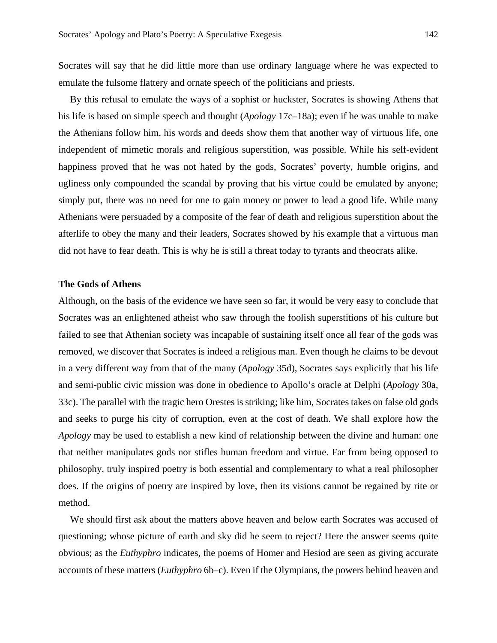Socrates will say that he did little more than use ordinary language where he was expected to emulate the fulsome flattery and ornate speech of the politicians and priests.

By this refusal to emulate the ways of a sophist or huckster, Socrates is showing Athens that his life is based on simple speech and thought (*Apology* 17c–18a); even if he was unable to make the Athenians follow him, his words and deeds show them that another way of virtuous life, one independent of mimetic morals and religious superstition, was possible. While his self-evident happiness proved that he was not hated by the gods, Socrates' poverty, humble origins, and ugliness only compounded the scandal by proving that his virtue could be emulated by anyone; simply put, there was no need for one to gain money or power to lead a good life. While many Athenians were persuaded by a composite of the fear of death and religious superstition about the afterlife to obey the many and their leaders, Socrates showed by his example that a virtuous man did not have to fear death. This is why he is still a threat today to tyrants and theocrats alike.

### **The Gods of Athens**

Although, on the basis of the evidence we have seen so far, it would be very easy to conclude that Socrates was an enlightened atheist who saw through the foolish superstitions of his culture but failed to see that Athenian society was incapable of sustaining itself once all fear of the gods was removed, we discover that Socrates is indeed a religious man. Even though he claims to be devout in a very different way from that of the many (*Apology* 35d), Socrates says explicitly that his life and semi-public civic mission was done in obedience to Apollo's oracle at Delphi (*Apology* 30a, 33c). The parallel with the tragic hero Orestes is striking; like him, Socrates takes on false old gods and seeks to purge his city of corruption, even at the cost of death. We shall explore how the *Apology* may be used to establish a new kind of relationship between the divine and human: one that neither manipulates gods nor stifles human freedom and virtue. Far from being opposed to philosophy, truly inspired poetry is both essential and complementary to what a real philosopher does. If the origins of poetry are inspired by love, then its visions cannot be regained by rite or method.

We should first ask about the matters above heaven and below earth Socrates was accused of questioning; whose picture of earth and sky did he seem to reject? Here the answer seems quite obvious; as the *Euthyphro* indicates, the poems of Homer and Hesiod are seen as giving accurate accounts of these matters (*Euthyphro* 6b–c). Even if the Olympians, the powers behind heaven and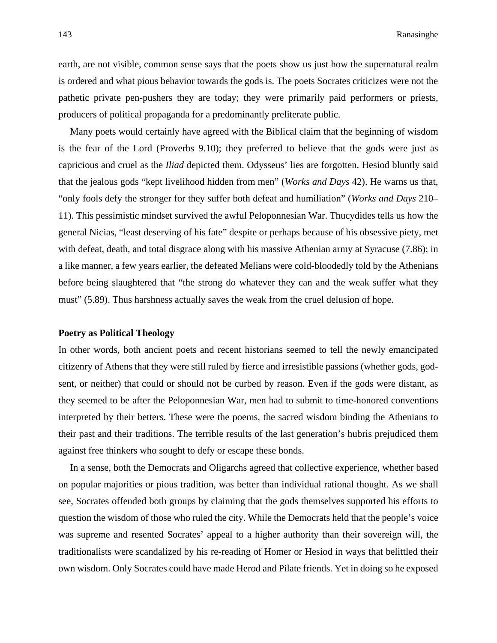earth, are not visible, common sense says that the poets show us just how the supernatural realm is ordered and what pious behavior towards the gods is. The poets Socrates criticizes were not the pathetic private pen-pushers they are today; they were primarily paid performers or priests, producers of political propaganda for a predominantly preliterate public.

Many poets would certainly have agreed with the Biblical claim that the beginning of wisdom is the fear of the Lord (Proverbs 9.10); they preferred to believe that the gods were just as capricious and cruel as the *Iliad* depicted them. Odysseus' lies are forgotten. Hesiod bluntly said that the jealous gods "kept livelihood hidden from men" (*Works and Days* 42). He warns us that, "only fools defy the stronger for they suffer both defeat and humiliation" (*Works and Days* 210– 11). This pessimistic mindset survived the awful Peloponnesian War. Thucydides tells us how the general Nicias, "least deserving of his fate" despite or perhaps because of his obsessive piety, met with defeat, death, and total disgrace along with his massive Athenian army at Syracuse (7.86); in a like manner, a few years earlier, the defeated Melians were cold-bloodedly told by the Athenians before being slaughtered that "the strong do whatever they can and the weak suffer what they must" (5.89). Thus harshness actually saves the weak from the cruel delusion of hope.

#### **Poetry as Political Theology**

In other words, both ancient poets and recent historians seemed to tell the newly emancipated citizenry of Athens that they were still ruled by fierce and irresistible passions (whether gods, godsent, or neither) that could or should not be curbed by reason. Even if the gods were distant, as they seemed to be after the Peloponnesian War, men had to submit to time-honored conventions interpreted by their betters. These were the poems, the sacred wisdom binding the Athenians to their past and their traditions. The terrible results of the last generation's hubris prejudiced them against free thinkers who sought to defy or escape these bonds.

In a sense, both the Democrats and Oligarchs agreed that collective experience, whether based on popular majorities or pious tradition, was better than individual rational thought. As we shall see, Socrates offended both groups by claiming that the gods themselves supported his efforts to question the wisdom of those who ruled the city. While the Democrats held that the people's voice was supreme and resented Socrates' appeal to a higher authority than their sovereign will, the traditionalists were scandalized by his re-reading of Homer or Hesiod in ways that belittled their own wisdom. Only Socrates could have made Herod and Pilate friends. Yet in doing so he exposed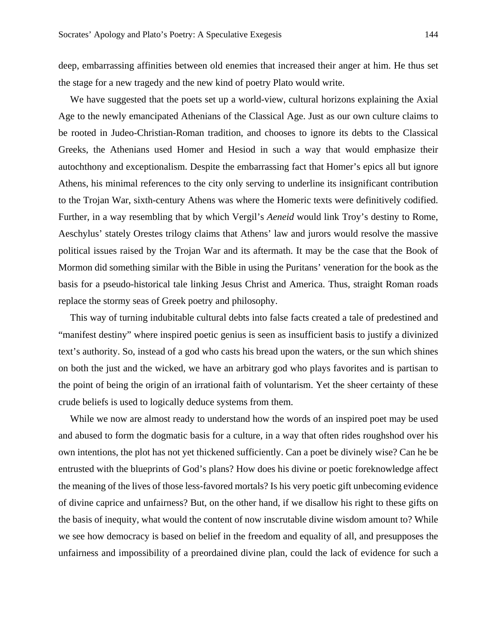deep, embarrassing affinities between old enemies that increased their anger at him. He thus set the stage for a new tragedy and the new kind of poetry Plato would write.

We have suggested that the poets set up a world-view, cultural horizons explaining the Axial Age to the newly emancipated Athenians of the Classical Age. Just as our own culture claims to be rooted in Judeo-Christian-Roman tradition, and chooses to ignore its debts to the Classical Greeks, the Athenians used Homer and Hesiod in such a way that would emphasize their autochthony and exceptionalism. Despite the embarrassing fact that Homer's epics all but ignore Athens, his minimal references to the city only serving to underline its insignificant contribution to the Trojan War, sixth-century Athens was where the Homeric texts were definitively codified. Further, in a way resembling that by which Vergil's *Aeneid* would link Troy's destiny to Rome, Aeschylus' stately Orestes trilogy claims that Athens' law and jurors would resolve the massive political issues raised by the Trojan War and its aftermath. It may be the case that the Book of Mormon did something similar with the Bible in using the Puritans' veneration for the book as the basis for a pseudo-historical tale linking Jesus Christ and America. Thus, straight Roman roads replace the stormy seas of Greek poetry and philosophy.

This way of turning indubitable cultural debts into false facts created a tale of predestined and "manifest destiny" where inspired poetic genius is seen as insufficient basis to justify a divinized text's authority. So, instead of a god who casts his bread upon the waters, or the sun which shines on both the just and the wicked, we have an arbitrary god who plays favorites and is partisan to the point of being the origin of an irrational faith of voluntarism. Yet the sheer certainty of these crude beliefs is used to logically deduce systems from them.

While we now are almost ready to understand how the words of an inspired poet may be used and abused to form the dogmatic basis for a culture, in a way that often rides roughshod over his own intentions, the plot has not yet thickened sufficiently. Can a poet be divinely wise? Can he be entrusted with the blueprints of God's plans? How does his divine or poetic foreknowledge affect the meaning of the lives of those less-favored mortals? Is his very poetic gift unbecoming evidence of divine caprice and unfairness? But, on the other hand, if we disallow his right to these gifts on the basis of inequity, what would the content of now inscrutable divine wisdom amount to? While we see how democracy is based on belief in the freedom and equality of all, and presupposes the unfairness and impossibility of a preordained divine plan, could the lack of evidence for such a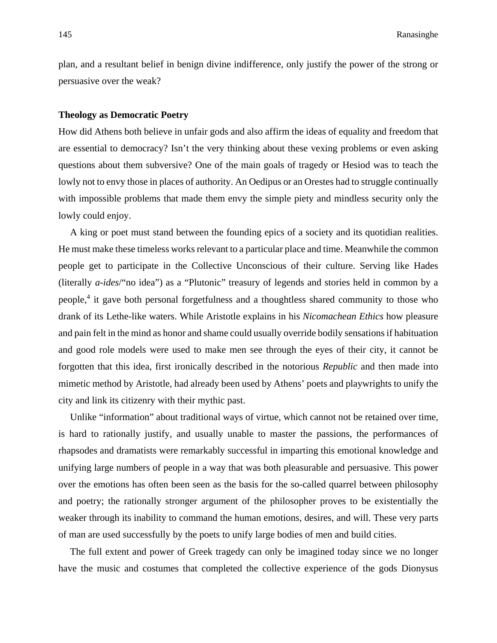plan, and a resultant belief in benign divine indifference, only justify the power of the strong or persuasive over the weak?

#### **Theology as Democratic Poetry**

How did Athens both believe in unfair gods and also affirm the ideas of equality and freedom that are essential to democracy? Isn't the very thinking about these vexing problems or even asking questions about them subversive? One of the main goals of tragedy or Hesiod was to teach the lowly not to envy those in places of authority. An Oedipus or an Orestes had to struggle continually with impossible problems that made them envy the simple piety and mindless security only the lowly could enjoy.

A king or poet must stand between the founding epics of a society and its quotidian realities. He must make these timeless works relevant to a particular place and time. Meanwhile the common people get to participate in the Collective Unconscious of their culture. Serving like Hades (literally *a-ides*/"no idea") as a "Plutonic" treasury of legends and stories held in common by a people,<sup>4</sup> it gave both personal forgetfulness and a thoughtless shared community to those who drank of its Lethe-like waters. While Aristotle explains in his *Nicomachean Ethics* how pleasure and pain felt in the mind as honor and shame could usually override bodily sensations if habituation and good role models were used to make men see through the eyes of their city, it cannot be forgotten that this idea, first ironically described in the notorious *Republic* and then made into mimetic method by Aristotle, had already been used by Athens' poets and playwrights to unify the city and link its citizenry with their mythic past.

Unlike "information" about traditional ways of virtue, which cannot not be retained over time, is hard to rationally justify, and usually unable to master the passions, the performances of rhapsodes and dramatists were remarkably successful in imparting this emotional knowledge and unifying large numbers of people in a way that was both pleasurable and persuasive. This power over the emotions has often been seen as the basis for the so-called quarrel between philosophy and poetry; the rationally stronger argument of the philosopher proves to be existentially the weaker through its inability to command the human emotions, desires, and will. These very parts of man are used successfully by the poets to unify large bodies of men and build cities.

The full extent and power of Greek tragedy can only be imagined today since we no longer have the music and costumes that completed the collective experience of the gods Dionysus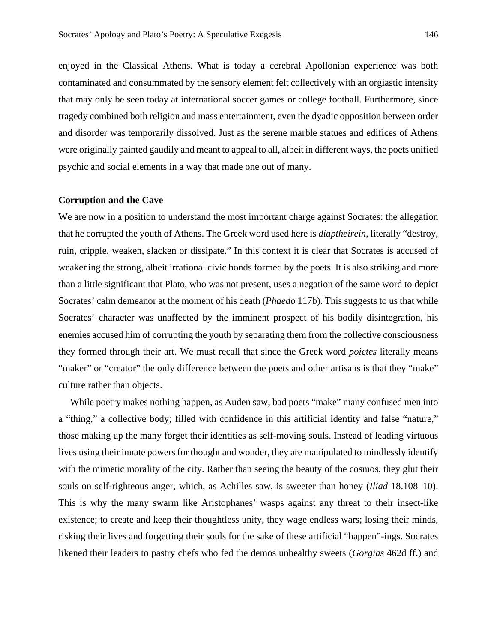enjoyed in the Classical Athens. What is today a cerebral Apollonian experience was both contaminated and consummated by the sensory element felt collectively with an orgiastic intensity that may only be seen today at international soccer games or college football. Furthermore, since tragedy combined both religion and mass entertainment, even the dyadic opposition between order and disorder was temporarily dissolved. Just as the serene marble statues and edifices of Athens were originally painted gaudily and meant to appeal to all, albeit in different ways, the poets unified psychic and social elements in a way that made one out of many.

#### **Corruption and the Cave**

We are now in a position to understand the most important charge against Socrates: the allegation that he corrupted the youth of Athens. The Greek word used here is *diaptheirein*, literally "destroy, ruin, cripple, weaken, slacken or dissipate." In this context it is clear that Socrates is accused of weakening the strong, albeit irrational civic bonds formed by the poets. It is also striking and more than a little significant that Plato, who was not present, uses a negation of the same word to depict Socrates' calm demeanor at the moment of his death (*Phaedo* 117b). This suggests to us that while Socrates' character was unaffected by the imminent prospect of his bodily disintegration, his enemies accused him of corrupting the youth by separating them from the collective consciousness they formed through their art. We must recall that since the Greek word *poietes* literally means "maker" or "creator" the only difference between the poets and other artisans is that they "make" culture rather than objects.

While poetry makes nothing happen, as Auden saw, bad poets "make" many confused men into a "thing," a collective body; filled with confidence in this artificial identity and false "nature," those making up the many forget their identities as self-moving souls. Instead of leading virtuous lives using their innate powers for thought and wonder, they are manipulated to mindlessly identify with the mimetic morality of the city. Rather than seeing the beauty of the cosmos, they glut their souls on self-righteous anger, which, as Achilles saw, is sweeter than honey (*Iliad* 18.108–10). This is why the many swarm like Aristophanes' wasps against any threat to their insect-like existence; to create and keep their thoughtless unity, they wage endless wars; losing their minds, risking their lives and forgetting their souls for the sake of these artificial "happen"-ings. Socrates likened their leaders to pastry chefs who fed the demos unhealthy sweets (*Gorgias* 462d ff.) and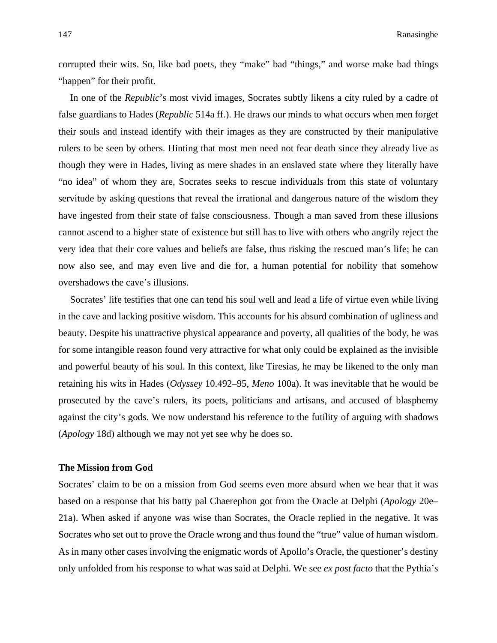corrupted their wits. So, like bad poets, they "make" bad "things," and worse make bad things "happen" for their profit.

In one of the *Republic*'s most vivid images, Socrates subtly likens a city ruled by a cadre of false guardians to Hades (*Republic* 514a ff.). He draws our minds to what occurs when men forget their souls and instead identify with their images as they are constructed by their manipulative rulers to be seen by others. Hinting that most men need not fear death since they already live as though they were in Hades, living as mere shades in an enslaved state where they literally have "no idea" of whom they are, Socrates seeks to rescue individuals from this state of voluntary servitude by asking questions that reveal the irrational and dangerous nature of the wisdom they have ingested from their state of false consciousness. Though a man saved from these illusions cannot ascend to a higher state of existence but still has to live with others who angrily reject the very idea that their core values and beliefs are false, thus risking the rescued man's life; he can now also see, and may even live and die for, a human potential for nobility that somehow overshadows the cave's illusions.

Socrates' life testifies that one can tend his soul well and lead a life of virtue even while living in the cave and lacking positive wisdom. This accounts for his absurd combination of ugliness and beauty. Despite his unattractive physical appearance and poverty, all qualities of the body, he was for some intangible reason found very attractive for what only could be explained as the invisible and powerful beauty of his soul. In this context, like Tiresias, he may be likened to the only man retaining his wits in Hades (*Odyssey* 10.492–95, *Meno* 100a). It was inevitable that he would be prosecuted by the cave's rulers, its poets, politicians and artisans, and accused of blasphemy against the city's gods. We now understand his reference to the futility of arguing with shadows (*Apology* 18d) although we may not yet see why he does so.

#### **The Mission from God**

Socrates' claim to be on a mission from God seems even more absurd when we hear that it was based on a response that his batty pal Chaerephon got from the Oracle at Delphi (*Apology* 20e– 21a). When asked if anyone was wise than Socrates, the Oracle replied in the negative. It was Socrates who set out to prove the Oracle wrong and thus found the "true" value of human wisdom. As in many other cases involving the enigmatic words of Apollo's Oracle, the questioner's destiny only unfolded from his response to what was said at Delphi. We see *ex post facto* that the Pythia's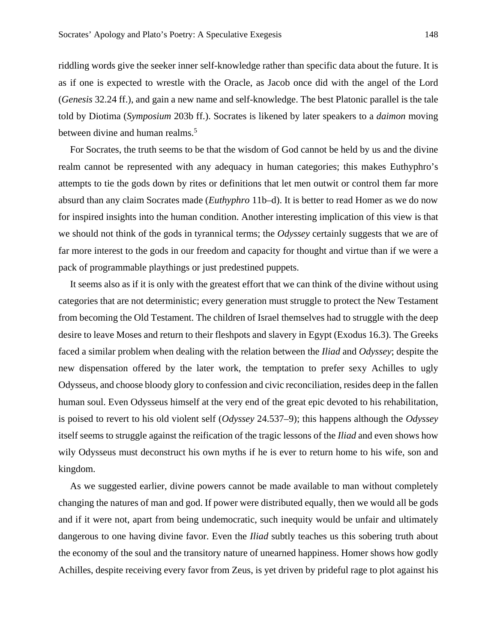riddling words give the seeker inner self-knowledge rather than specific data about the future. It is as if one is expected to wrestle with the Oracle, as Jacob once did with the angel of the Lord (*Genesis* 32.24 ff.), and gain a new name and self-knowledge. The best Platonic parallel is the tale told by Diotima (*Symposium* 203b ff.). Socrates is likened by later speakers to a *daimon* moving between divine and human realms.<sup>5</sup>

For Socrates, the truth seems to be that the wisdom of God cannot be held by us and the divine realm cannot be represented with any adequacy in human categories; this makes Euthyphro's attempts to tie the gods down by rites or definitions that let men outwit or control them far more absurd than any claim Socrates made (*Euthyphro* 11b–d). It is better to read Homer as we do now for inspired insights into the human condition. Another interesting implication of this view is that we should not think of the gods in tyrannical terms; the *Odyssey* certainly suggests that we are of far more interest to the gods in our freedom and capacity for thought and virtue than if we were a pack of programmable playthings or just predestined puppets.

It seems also as if it is only with the greatest effort that we can think of the divine without using categories that are not deterministic; every generation must struggle to protect the New Testament from becoming the Old Testament. The children of Israel themselves had to struggle with the deep desire to leave Moses and return to their fleshpots and slavery in Egypt (Exodus 16.3). The Greeks faced a similar problem when dealing with the relation between the *Iliad* and *Odyssey*; despite the new dispensation offered by the later work, the temptation to prefer sexy Achilles to ugly Odysseus, and choose bloody glory to confession and civic reconciliation, resides deep in the fallen human soul. Even Odysseus himself at the very end of the great epic devoted to his rehabilitation, is poised to revert to his old violent self (*Odyssey* 24.537–9); this happens although the *Odyssey* itself seems to struggle against the reification of the tragic lessons of the *Iliad* and even shows how wily Odysseus must deconstruct his own myths if he is ever to return home to his wife, son and kingdom.

As we suggested earlier, divine powers cannot be made available to man without completely changing the natures of man and god. If power were distributed equally, then we would all be gods and if it were not, apart from being undemocratic, such inequity would be unfair and ultimately dangerous to one having divine favor. Even the *Iliad* subtly teaches us this sobering truth about the economy of the soul and the transitory nature of unearned happiness. Homer shows how godly Achilles, despite receiving every favor from Zeus, is yet driven by prideful rage to plot against his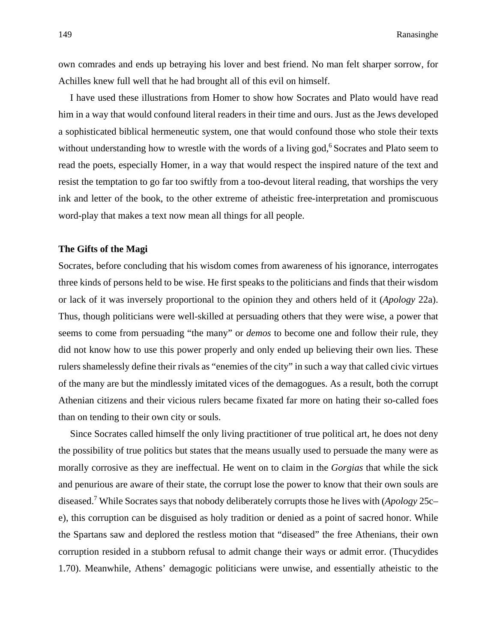own comrades and ends up betraying his lover and best friend. No man felt sharper sorrow, for Achilles knew full well that he had brought all of this evil on himself.

I have used these illustrations from Homer to show how Socrates and Plato would have read him in a way that would confound literal readers in their time and ours. Just as the Jews developed a sophisticated biblical hermeneutic system, one that would confound those who stole their texts without understanding how to wrestle with the words of a living god,<sup>6</sup> Socrates and Plato seem to read the poets, especially Homer, in a way that would respect the inspired nature of the text and resist the temptation to go far too swiftly from a too-devout literal reading, that worships the very ink and letter of the book, to the other extreme of atheistic free-interpretation and promiscuous word-play that makes a text now mean all things for all people.

#### **The Gifts of the Magi**

Socrates, before concluding that his wisdom comes from awareness of his ignorance, interrogates three kinds of persons held to be wise. He first speaks to the politicians and finds that their wisdom or lack of it was inversely proportional to the opinion they and others held of it (*Apology* 22a). Thus, though politicians were well-skilled at persuading others that they were wise, a power that seems to come from persuading "the many" or *demos* to become one and follow their rule, they did not know how to use this power properly and only ended up believing their own lies. These rulers shamelessly define their rivals as "enemies of the city" in such a way that called civic virtues of the many are but the mindlessly imitated vices of the demagogues. As a result, both the corrupt Athenian citizens and their vicious rulers became fixated far more on hating their so-called foes than on tending to their own city or souls.

Since Socrates called himself the only living practitioner of true political art, he does not deny the possibility of true politics but states that the means usually used to persuade the many were as morally corrosive as they are ineffectual. He went on to claim in the *Gorgias* that while the sick and penurious are aware of their state, the corrupt lose the power to know that their own souls are diseased.7 While Socrates says that nobody deliberately corrupts those he lives with (*Apology* 25c– e), this corruption can be disguised as holy tradition or denied as a point of sacred honor. While the Spartans saw and deplored the restless motion that "diseased" the free Athenians, their own corruption resided in a stubborn refusal to admit change their ways or admit error. (Thucydides 1.70). Meanwhile, Athens' demagogic politicians were unwise, and essentially atheistic to the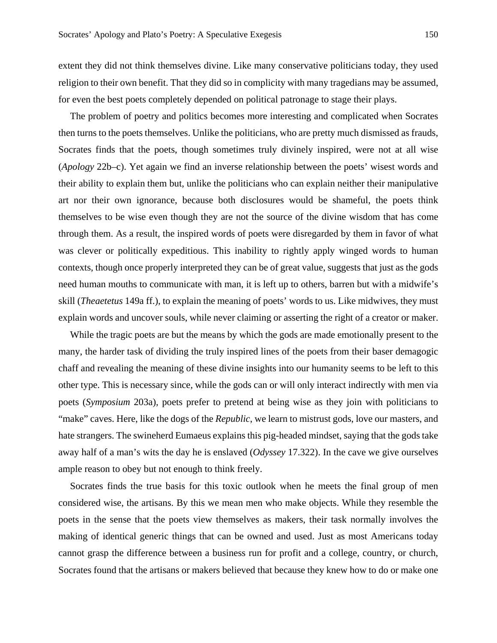extent they did not think themselves divine. Like many conservative politicians today, they used religion to their own benefit. That they did so in complicity with many tragedians may be assumed, for even the best poets completely depended on political patronage to stage their plays.

The problem of poetry and politics becomes more interesting and complicated when Socrates then turns to the poets themselves. Unlike the politicians, who are pretty much dismissed as frauds, Socrates finds that the poets, though sometimes truly divinely inspired, were not at all wise (*Apology* 22b–c). Yet again we find an inverse relationship between the poets' wisest words and their ability to explain them but, unlike the politicians who can explain neither their manipulative art nor their own ignorance, because both disclosures would be shameful, the poets think themselves to be wise even though they are not the source of the divine wisdom that has come through them. As a result, the inspired words of poets were disregarded by them in favor of what was clever or politically expeditious. This inability to rightly apply winged words to human contexts, though once properly interpreted they can be of great value, suggests that just as the gods need human mouths to communicate with man, it is left up to others, barren but with a midwife's skill (*Theaetetus* 149a ff.), to explain the meaning of poets' words to us. Like midwives, they must explain words and uncover souls, while never claiming or asserting the right of a creator or maker.

While the tragic poets are but the means by which the gods are made emotionally present to the many, the harder task of dividing the truly inspired lines of the poets from their baser demagogic chaff and revealing the meaning of these divine insights into our humanity seems to be left to this other type. This is necessary since, while the gods can or will only interact indirectly with men via poets (*Symposium* 203a), poets prefer to pretend at being wise as they join with politicians to "make" caves. Here, like the dogs of the *Republic*, we learn to mistrust gods, love our masters, and hate strangers. The swineherd Eumaeus explains this pig-headed mindset, saying that the gods take away half of a man's wits the day he is enslaved (*Odyssey* 17.322). In the cave we give ourselves ample reason to obey but not enough to think freely.

Socrates finds the true basis for this toxic outlook when he meets the final group of men considered wise, the artisans. By this we mean men who make objects. While they resemble the poets in the sense that the poets view themselves as makers, their task normally involves the making of identical generic things that can be owned and used. Just as most Americans today cannot grasp the difference between a business run for profit and a college, country, or church, Socrates found that the artisans or makers believed that because they knew how to do or make one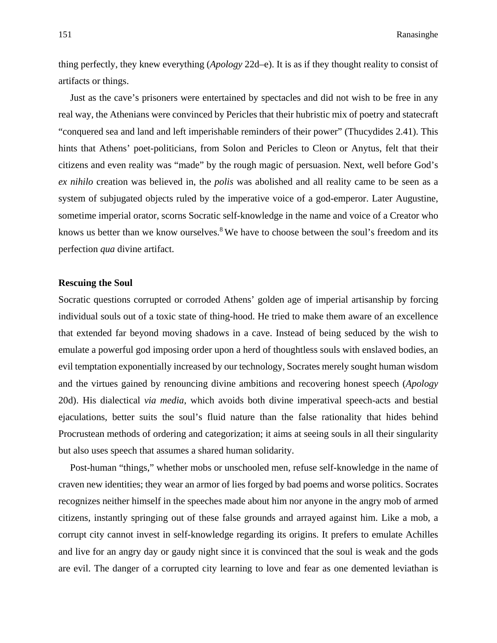thing perfectly, they knew everything (*Apology* 22d–e). It is as if they thought reality to consist of artifacts or things.

Just as the cave's prisoners were entertained by spectacles and did not wish to be free in any real way, the Athenians were convinced by Pericles that their hubristic mix of poetry and statecraft "conquered sea and land and left imperishable reminders of their power" (Thucydides 2.41). This hints that Athens' poet-politicians, from Solon and Pericles to Cleon or Anytus, felt that their citizens and even reality was "made" by the rough magic of persuasion. Next, well before God's *ex nihilo* creation was believed in, the *polis* was abolished and all reality came to be seen as a system of subjugated objects ruled by the imperative voice of a god-emperor. Later Augustine, sometime imperial orator, scorns Socratic self-knowledge in the name and voice of a Creator who knows us better than we know ourselves.<sup>8</sup> We have to choose between the soul's freedom and its perfection *qua* divine artifact.

# **Rescuing the Soul**

Socratic questions corrupted or corroded Athens' golden age of imperial artisanship by forcing individual souls out of a toxic state of thing-hood. He tried to make them aware of an excellence that extended far beyond moving shadows in a cave. Instead of being seduced by the wish to emulate a powerful god imposing order upon a herd of thoughtless souls with enslaved bodies, an evil temptation exponentially increased by our technology, Socrates merely sought human wisdom and the virtues gained by renouncing divine ambitions and recovering honest speech (*Apology* 20d). His dialectical *via media*, which avoids both divine imperatival speech-acts and bestial ejaculations, better suits the soul's fluid nature than the false rationality that hides behind Procrustean methods of ordering and categorization; it aims at seeing souls in all their singularity but also uses speech that assumes a shared human solidarity.

Post-human "things," whether mobs or unschooled men, refuse self-knowledge in the name of craven new identities; they wear an armor of lies forged by bad poems and worse politics. Socrates recognizes neither himself in the speeches made about him nor anyone in the angry mob of armed citizens, instantly springing out of these false grounds and arrayed against him. Like a mob, a corrupt city cannot invest in self-knowledge regarding its origins. It prefers to emulate Achilles and live for an angry day or gaudy night since it is convinced that the soul is weak and the gods are evil. The danger of a corrupted city learning to love and fear as one demented leviathan is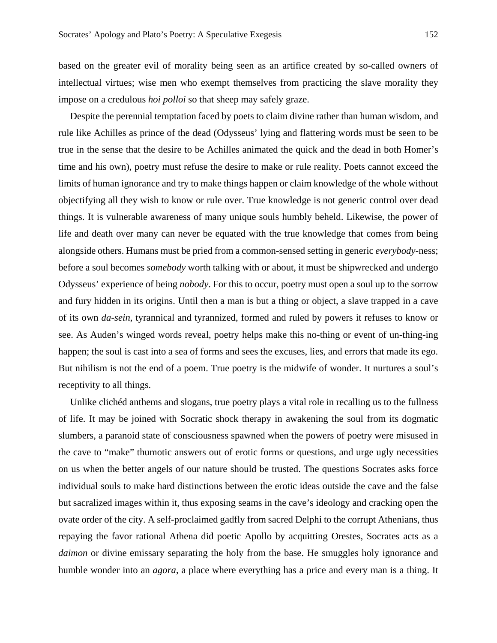based on the greater evil of morality being seen as an artifice created by so-called owners of intellectual virtues; wise men who exempt themselves from practicing the slave morality they impose on a credulous *hoi polloi* so that sheep may safely graze.

Despite the perennial temptation faced by poets to claim divine rather than human wisdom, and rule like Achilles as prince of the dead (Odysseus' lying and flattering words must be seen to be true in the sense that the desire to be Achilles animated the quick and the dead in both Homer's time and his own), poetry must refuse the desire to make or rule reality. Poets cannot exceed the limits of human ignorance and try to make things happen or claim knowledge of the whole without objectifying all they wish to know or rule over. True knowledge is not generic control over dead things. It is vulnerable awareness of many unique souls humbly beheld. Likewise, the power of life and death over many can never be equated with the true knowledge that comes from being alongside others. Humans must be pried from a common-sensed setting in generic *everybody*-ness; before a soul becomes *somebody* worth talking with or about, it must be shipwrecked and undergo Odysseus' experience of being *nobody*. For this to occur, poetry must open a soul up to the sorrow and fury hidden in its origins. Until then a man is but a thing or object, a slave trapped in a cave of its own *da-sein*, tyrannical and tyrannized, formed and ruled by powers it refuses to know or see. As Auden's winged words reveal, poetry helps make this no-thing or event of un-thing-ing happen; the soul is cast into a sea of forms and sees the excuses, lies, and errors that made its ego. But nihilism is not the end of a poem. True poetry is the midwife of wonder. It nurtures a soul's receptivity to all things.

Unlike clichéd anthems and slogans, true poetry plays a vital role in recalling us to the fullness of life. It may be joined with Socratic shock therapy in awakening the soul from its dogmatic slumbers, a paranoid state of consciousness spawned when the powers of poetry were misused in the cave to "make" thumotic answers out of erotic forms or questions, and urge ugly necessities on us when the better angels of our nature should be trusted. The questions Socrates asks force individual souls to make hard distinctions between the erotic ideas outside the cave and the false but sacralized images within it, thus exposing seams in the cave's ideology and cracking open the ovate order of the city. A self-proclaimed gadfly from sacred Delphi to the corrupt Athenians, thus repaying the favor rational Athena did poetic Apollo by acquitting Orestes, Socrates acts as a *daimon* or divine emissary separating the holy from the base. He smuggles holy ignorance and humble wonder into an *agora*, a place where everything has a price and every man is a thing. It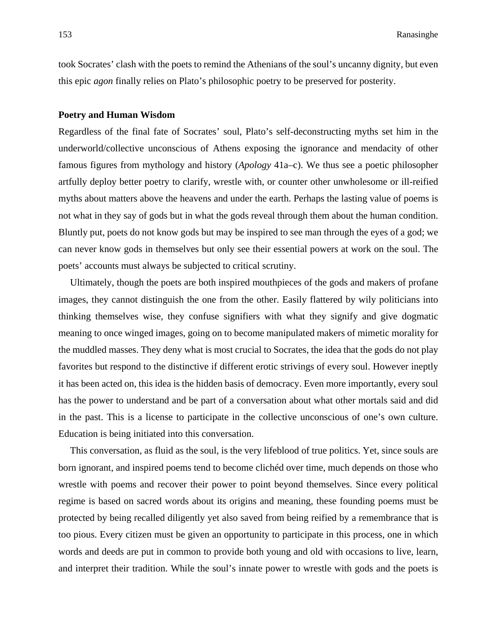took Socrates' clash with the poets to remind the Athenians of the soul's uncanny dignity, but even this epic *agon* finally relies on Plato's philosophic poetry to be preserved for posterity.

#### **Poetry and Human Wisdom**

Regardless of the final fate of Socrates' soul, Plato's self-deconstructing myths set him in the underworld/collective unconscious of Athens exposing the ignorance and mendacity of other famous figures from mythology and history (*Apology* 41a–c). We thus see a poetic philosopher artfully deploy better poetry to clarify, wrestle with, or counter other unwholesome or ill-reified myths about matters above the heavens and under the earth. Perhaps the lasting value of poems is not what in they say of gods but in what the gods reveal through them about the human condition. Bluntly put, poets do not know gods but may be inspired to see man through the eyes of a god; we can never know gods in themselves but only see their essential powers at work on the soul. The poets' accounts must always be subjected to critical scrutiny.

Ultimately, though the poets are both inspired mouthpieces of the gods and makers of profane images, they cannot distinguish the one from the other. Easily flattered by wily politicians into thinking themselves wise, they confuse signifiers with what they signify and give dogmatic meaning to once winged images, going on to become manipulated makers of mimetic morality for the muddled masses. They deny what is most crucial to Socrates, the idea that the gods do not play favorites but respond to the distinctive if different erotic strivings of every soul. However ineptly it has been acted on, this idea is the hidden basis of democracy. Even more importantly, every soul has the power to understand and be part of a conversation about what other mortals said and did in the past. This is a license to participate in the collective unconscious of one's own culture. Education is being initiated into this conversation.

This conversation, as fluid as the soul, is the very lifeblood of true politics. Yet, since souls are born ignorant, and inspired poems tend to become clichéd over time, much depends on those who wrestle with poems and recover their power to point beyond themselves. Since every political regime is based on sacred words about its origins and meaning, these founding poems must be protected by being recalled diligently yet also saved from being reified by a remembrance that is too pious. Every citizen must be given an opportunity to participate in this process, one in which words and deeds are put in common to provide both young and old with occasions to live, learn, and interpret their tradition. While the soul's innate power to wrestle with gods and the poets is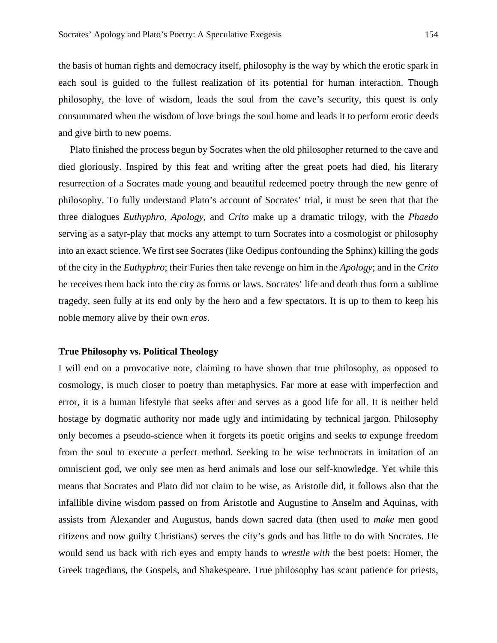the basis of human rights and democracy itself, philosophy is the way by which the erotic spark in each soul is guided to the fullest realization of its potential for human interaction. Though philosophy, the love of wisdom, leads the soul from the cave's security, this quest is only consummated when the wisdom of love brings the soul home and leads it to perform erotic deeds and give birth to new poems.

Plato finished the process begun by Socrates when the old philosopher returned to the cave and died gloriously. Inspired by this feat and writing after the great poets had died, his literary resurrection of a Socrates made young and beautiful redeemed poetry through the new genre of philosophy. To fully understand Plato's account of Socrates' trial, it must be seen that that the three dialogues *Euthyphro*, *Apology*, and *Crito* make up a dramatic trilogy, with the *Phaedo* serving as a satyr-play that mocks any attempt to turn Socrates into a cosmologist or philosophy into an exact science. We first see Socrates (like Oedipus confounding the Sphinx) killing the gods of the city in the *Euthyphro*; their Furies then take revenge on him in the *Apology*; and in the *Crito* he receives them back into the city as forms or laws. Socrates' life and death thus form a sublime tragedy, seen fully at its end only by the hero and a few spectators. It is up to them to keep his noble memory alive by their own *eros*.

#### **True Philosophy vs. Political Theology**

I will end on a provocative note, claiming to have shown that true philosophy, as opposed to cosmology, is much closer to poetry than metaphysics. Far more at ease with imperfection and error, it is a human lifestyle that seeks after and serves as a good life for all. It is neither held hostage by dogmatic authority nor made ugly and intimidating by technical jargon. Philosophy only becomes a pseudo-science when it forgets its poetic origins and seeks to expunge freedom from the soul to execute a perfect method. Seeking to be wise technocrats in imitation of an omniscient god, we only see men as herd animals and lose our self-knowledge. Yet while this means that Socrates and Plato did not claim to be wise, as Aristotle did, it follows also that the infallible divine wisdom passed on from Aristotle and Augustine to Anselm and Aquinas, with assists from Alexander and Augustus, hands down sacred data (then used to *make* men good citizens and now guilty Christians) serves the city's gods and has little to do with Socrates. He would send us back with rich eyes and empty hands to *wrestle with* the best poets: Homer, the Greek tragedians, the Gospels, and Shakespeare. True philosophy has scant patience for priests,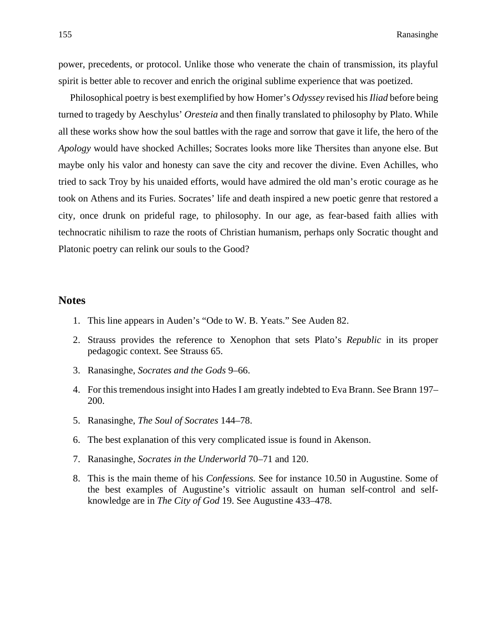power, precedents, or protocol. Unlike those who venerate the chain of transmission, its playful spirit is better able to recover and enrich the original sublime experience that was poetized.

Philosophical poetry is best exemplified by how Homer's *Odyssey* revised his *Iliad* before being turned to tragedy by Aeschylus' *Oresteia* and then finally translated to philosophy by Plato. While all these works show how the soul battles with the rage and sorrow that gave it life, the hero of the *Apology* would have shocked Achilles; Socrates looks more like Thersites than anyone else. But maybe only his valor and honesty can save the city and recover the divine. Even Achilles, who tried to sack Troy by his unaided efforts, would have admired the old man's erotic courage as he took on Athens and its Furies. Socrates' life and death inspired a new poetic genre that restored a city, once drunk on prideful rage, to philosophy. In our age, as fear-based faith allies with technocratic nihilism to raze the roots of Christian humanism, perhaps only Socratic thought and Platonic poetry can relink our souls to the Good?

## **Notes**

- 1. This line appears in Auden's "Ode to W. B. Yeats." See Auden 82.
- 2. Strauss provides the reference to Xenophon that sets Plato's *Republic* in its proper pedagogic context. See Strauss 65.
- 3. Ranasinghe, *Socrates and the Gods* 9–66.
- 4. For this tremendous insight into Hades I am greatly indebted to Eva Brann. See Brann 197– 200.
- 5. Ranasinghe, *The Soul of Socrates* 144–78.
- 6. The best explanation of this very complicated issue is found in Akenson.
- 7. Ranasinghe, *Socrates in the Underworld* 70–71 and 120.
- 8. This is the main theme of his *Confessions.* See for instance 10.50 in Augustine. Some of the best examples of Augustine's vitriolic assault on human self-control and selfknowledge are in *The City of God* 19. See Augustine 433–478.